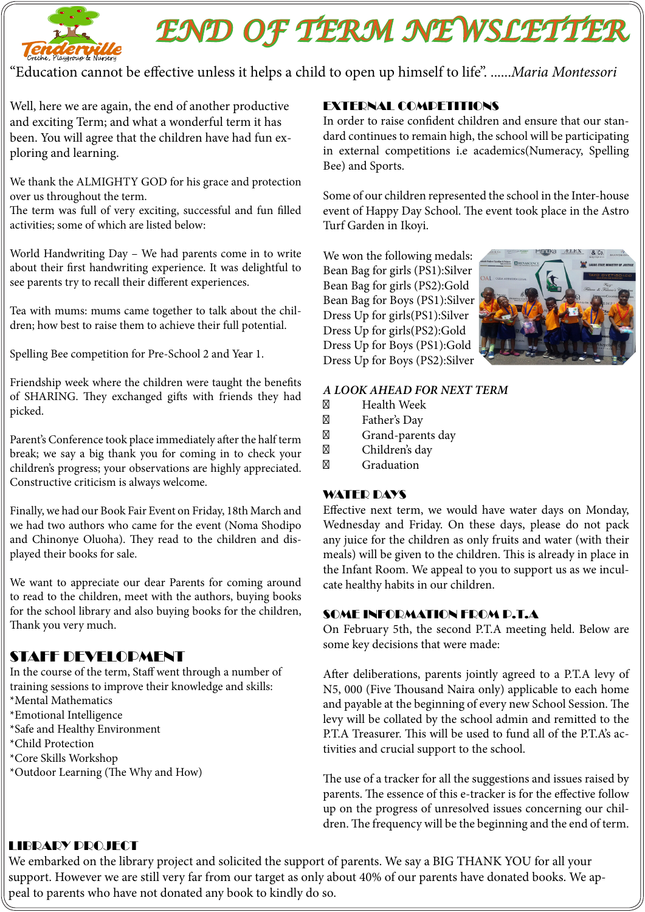

# *END OF TERM NEWSLETTER*

"Education cannot be effective unless it helps a child to open up himself to life". ......*Maria Montessori* 

Well, here we are again, the end of another productive and exciting Term; and what a wonderful term it has been. You will agree that the children have had fun exploring and learning.

We thank the ALMIGHTY GOD for his grace and protection over us throughout the term.

The term was full of very exciting, successful and fun filled activities; some of which are listed below:

World Handwriting Day – We had parents come in to write about their first handwriting experience. It was delightful to see parents try to recall their different experiences.

Tea with mums: mums came together to talk about the children; how best to raise them to achieve their full potential.

Spelling Bee competition for Pre-School 2 and Year 1.

Friendship week where the children were taught the benefits of SHARING. They exchanged gifts with friends they had picked.

Parent's Conference took place immediately after the half term break; we say a big thank you for coming in to check your children's progress; your observations are highly appreciated. Constructive criticism is always welcome.

Finally, we had our Book Fair Event on Friday, 18th March and we had two authors who came for the event (Noma Shodipo and Chinonye Oluoha). They read to the children and displayed their books for sale.

We want to appreciate our dear Parents for coming around to read to the children, meet with the authors, buying books for the school library and also buying books for the children, Thank you very much.

# STAFF DEVELOPMENT

In the course of the term, Staff went through a number of training sessions to improve their knowledge and skills:

- \*Mental Mathematics
- \*Emotional Intelligence
- \*Safe and Healthy Environment
- \*Child Protection
- \*Core Skills Workshop
- \*Outdoor Learning (The Why and How)

# EXTERNAL COMPETITIONS

In order to raise confident children and ensure that our standard continues to remain high, the school will be participating in external competitions i.e academics(Numeracy, Spelling Bee) and Sports.

Some of our children represented the school in the Inter-house event of Happy Day School. The event took place in the Astro Turf Garden in Ikoyi.

We won the following medals: Bean Bag for girls (PS1):Silver Bean Bag for girls (PS2):Gold Bean Bag for Boys (PS1):Silver Dress Up for girls(PS1):Silver Dress Up for girls(PS2):Gold Dress Up for Boys (PS1):Gold Dress Up for Boys (PS2):Silver



*A LOOK AHEAD FOR NEXT TERM*

Health Week Father's Day Grand-parents day Children's day Graduation

#### WATER DAYS

Effective next term, we would have water days on Monday, Wednesday and Friday. On these days, please do not pack any juice for the children as only fruits and water (with their meals) will be given to the children. This is already in place in the Infant Room. We appeal to you to support us as we inculcate healthy habits in our children.

#### SOME INFORMATION FROM P.T.A

On February 5th, the second P.T.A meeting held. Below are some key decisions that were made:

After deliberations, parents jointly agreed to a P.T.A levy of N5, 000 (Five Thousand Naira only) applicable to each home and payable at the beginning of every new School Session. The levy will be collated by the school admin and remitted to the P.T.A Treasurer. This will be used to fund all of the P.T.A's activities and crucial support to the school.

The use of a tracker for all the suggestions and issues raised by parents. The essence of this e-tracker is for the effective follow up on the progress of unresolved issues concerning our children. The frequency will be the beginning and the end of term.

# LIBRARY PROJECT

We embarked on the library project and solicited the support of parents. We say a BIG THANK YOU for all your support. However we are still very far from our target as only about 40% of our parents have donated books. We appeal to parents who have not donated any book to kindly do so.